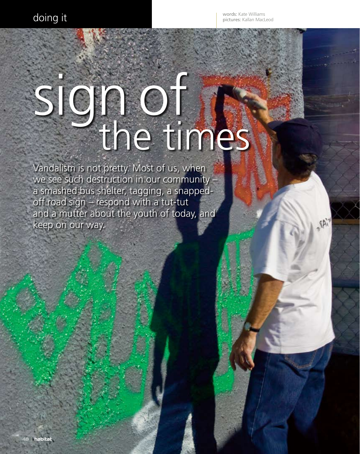words: Kate Williams pictures: Kallan MacLeod

. TAi

## sign of the

Vandalism is not pretty. Most of us, when we see such destruction in our community – a smashed bus shelter, tagging, a snappedoff road sign – respond with a tut-tut and a mutter about the youth of today, and keep on our way.

Caption to go here…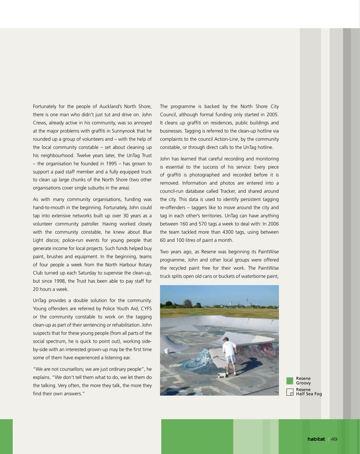Fortunately for the people of Auckland's North Shore, there is one man who didn't just tut and drive on. John Crews, already active in his community, was so annoyed at the major problems with graffiti in Sunnynook that he rounded up a group of volunteers and – with the help of the local community constable – set about cleaning up his neighbourhood. Twelve years later, the UnTag Trust – the organisation he founded in 1995 – has grown to support a paid staff member and a fully equipped truck to clean up large chunks of the North Shore (two other organisations cover single suburbs in the area).

As with many community organisations, funding was hand-to-mouth in the beginning. Fortunately, John could tap into extensive networks built up over 30 years as a volunteer community patroller. Having worked closely with the community constable, he knew about Blue Light discos; police-run events for young people that generate income for local projects. Such funds helped buy paint, brushes and equipment. In the beginning, teams of four people a week from the North Harbour Rotary Club turned up each Saturday to supervise the clean-up, but since 1998, the Trust has been able to pay staff for 20 hours a week.

UnTag provides a double solution for the community. Young offenders are referred by Police Youth Aid, CYFS or the community constable to work on the tagging clean-up as part of their sentencing or rehabilitation. John suspects that for these young people (from all parts of the social spectrum, he is quick to point out), working sideby-side with an interested grown-up may be the first time some of them have experienced a listening ear.

"We are not counsellors; we are just ordinary people", he explains. "We don't tell them what to do, we let them do the talking. Very often, the more they talk, the more they find their own answers."

The programme is backed by the North Shore City Council, although formal funding only started in 2005. It cleans up graffiti on residences, public buildings and businesses. Tagging is referred to the clean-up hotline via complaints to the council Action-Line, by the community constable, or through direct calls to the UnTag hotline.

John has learned that careful recording and monitoring is essential to the success of his service: Every piece of graffiti is photographed and recorded before it is removed. Information and photos are entered into a council-run database called Tracker, and shared around the city. This data is used to identify persistent tagging re-offenders – taggers like to move around the city and tag in each other's territories. UnTag can have anything between 160 and 570 tags a week to deal with: In 2006 the team tackled more than 4300 tags, using between 60 and 100 litres of paint a month.

Two years ago, as Resene was beginning its PaintWise programme, John and other local groups were offered the recycled paint free for their work. The PaintWise truck splits open old cans or buckets of waterborne paint,